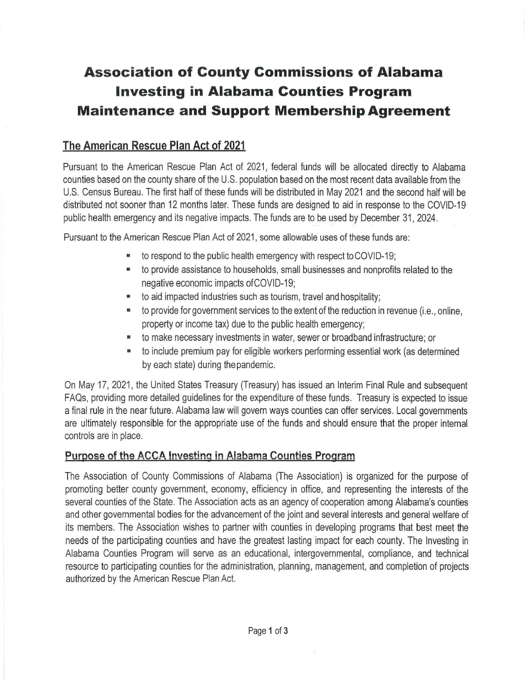## **Association of County Commissions of Alabama Investing in Alabama Counties Program Maintenance and Support MembershipAgreement**

## **The American Rescue Plan Act of 2021**

Pursuant to the American Rescue Plan Act of 2021 , federal funds will be allocated directly to Alabama counties based on the county share of the U.S. population based on the most recent data available from the U.S. Census Bureau. The first half of these funds will be distributed in May 2021 and the second half will be distributed not sooner than 12 months later. These funds are designed to aid in response to the COVID-19 public health emergency and its negative impacts. The funds are to be used by December 31, 2024.

Pursuant to the American Rescue Plan Act of 2021, some allowable uses of these funds are:

- to respond to the public health emergency with respect to COVID-19;
- to provide assistance to households, small businesses and nonprofits related to the negative economic impacts of COVID-19;
- to aid impacted industries such as tourism, travel and hospitality;
- to provide for government services to the extent of the reduction in revenue (i.e., online, property or income tax) due to the public health emergency;
- to make necessary investments in water, sewer or broadband infrastructure; or
- to include premium pay for eligible workers performing essential work (as determined by each state) during the pandemic.

On May 17, 2021 , the United States Treasury {Treasury) has issued an Interim Final Rule and subsequent FAQs, providing more detailed guidelines for the expenditure of these funds. Treasury is expected to issue a final rule in the near future. Alabama law will govern ways counties can offer services. Local governments are ultimately responsible for the appropriate use of the funds and should ensure that the proper internal controls are in place.

## **Purpose of the ACCA Investing in Alabama Counties Program**

The Association of County Commissions of Alabama (The Association) is organized for the purpose of promoting better county government, economy, efficiency in office, and representing the interests of the several counties of the State. The Association acts as an agency of cooperation among Alabama's counties and other governmental bodies for the advancement of the joint and several interests and general welfare of its members. The Association wishes to partner with counties in developing programs that best meet the needs of the participating counties and have the greatest lasting impact for each county. The Investing in Alabama Counties Program will serve as an educational, intergovernmental, compliance, and technical resource to participating counties for the administration, planning, management, and completion of projects authorized by the American Rescue Plan Act.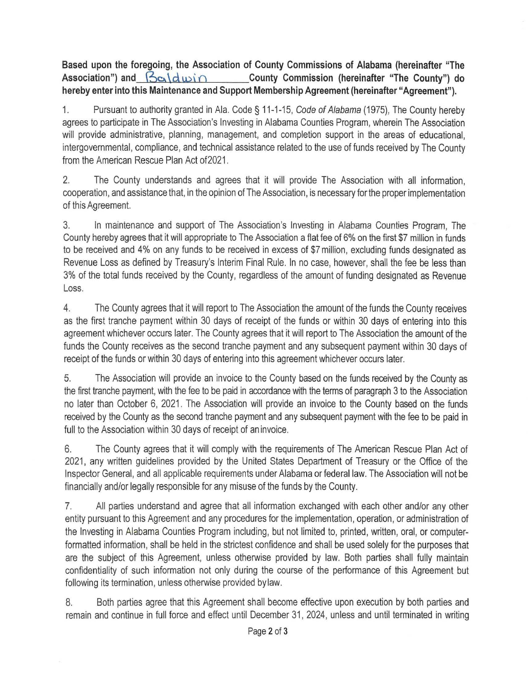**Based upon the foregoing, the Association of County Commissions of Alabama (hereinafter "The**  Association") and  $\beta$   $\alpha$  d  $\alpha$  in **County Commission** (hereinafter "The County") do **hereby enter into this Maintenance and Support Membership Agreement (hereinafter "Agreement").** 

1. Pursuant to authority granted in Ala. Code§ 11-1-15, Code of Alabama (1975), The County hereby agrees to participate in The Association's Investing in Alabama Counties Program, wherein The Association will provide administrative, planning, management, and completion support in the areas of educational, intergovernmental, compliance, and technical assistance related to the use of funds received by The County from the American Rescue Plan Act of 2021.

2. The County understands and agrees that it will provide The Association with all information, cooperation, and assistance that, in the opinion ofThe Association, is necessary for the proper implementation of this Agreement.

3. In maintenance and support of The Association's Investing in Alabama Counties Program, The County hereby agrees that it will appropriate to The Association a flat fee of 6% on the first \$7 million in funds to be received and 4% on any funds to be received in excess of \$7 million, excluding funds designated as Revenue Loss as defined by Treasury's Interim Final Rule. In no case, however, shall the fee be less than 3% of the total funds received by the County, regardless of the amount of funding designated as Revenue Loss.

4. The County agrees that it will report to The Association the amount of the funds the County receives as the first tranche payment within 30 days of receipt of the funds or within 30 days of entering into this agreement whichever occurs later. The County agrees that it will report to The Association the amount of the funds the County receives as the second tranche payment and any subsequent payment within 30 days of receipt of the funds or within 30 days of entering into this agreement whichever occurs later.

5. The Association will provide an invoice to the County based on the funds received by the County as the first tranche payment, with the fee to be paid in accordance with the terms of paragraph 3 to the Association no later than October 6, 2021. The Association will provide an invoice to the County based on the funds received by the County as the second tranche payment and any subsequent payment with the fee to be paid in full to the Association within 30 days of receipt of an invoice.

6. The County agrees that it will comply with the requirements of The American Rescue Plan Act of 2021, any written guidelines provided by the United States Department of Treasury or the Office of the Inspector General, and all applicable requirements under Alabama or federal law. The Association will not be financially and/or legally responsible for any misuse of the funds by the County.

7. All parties understand and agree that all information exchanged with each other and/or any other entity pursuant to this Agreement and any procedures for the implementation, operation, or administration of the Investing in Alabama Counties Program including, but not limited to, printed, written, oral, or computerformatted information, shall be held in the strictest confidence and shall be used solely for the purposes that are the subject of this Agreement, unless otherwise provided by law. Both parties shall fully maintain confidentiality of such information not only during the course of the performance of this Agreement but following its termination, unless otherwise provided bylaw.

8. Both parties agree that this Agreement shall become effective upon execution by both parties and remain and continue in full force and effect until December 31 , 2024, unless and until terminated in writing